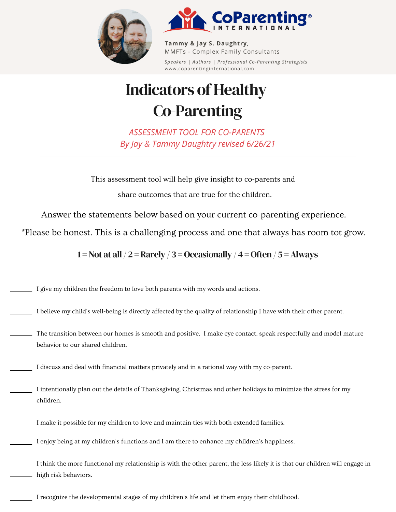



**Tammy & Jay S. Daughtry,** MMFTs - Complex Family Consultants *Speakers | Authors | Professional Co-Parenting Strategists* www.coparentinginternational.com

## **Indicators of Healthy** Co-Parenting

*ASSESSMENT TOOL FOR CO-PARENTS By Jay & Tammy Daughtry revised 6/26/21*

This assessment tool will help give insight to co-parents and share outcomes that are true for the children.

Answer the statements below based on your current co-parenting experience.

\*Please be honest. This is a challenging process and one that always has room tot grow.

1 = Not at all  $/2$  = Rarely  $/3$  = Occasionally  $/4$  = Often  $/5$  = Always

| I give my children the freedom to love both parents with my words and actions.                                                                       |
|------------------------------------------------------------------------------------------------------------------------------------------------------|
| I believe my child's well-being is directly affected by the quality of relationship I have with their other parent.                                  |
| The transition between our homes is smooth and positive. I make eye contact, speak respectfully and model mature<br>behavior to our shared children. |
| I discuss and deal with financial matters privately and in a rational way with my co-parent.                                                         |
| I intentionally plan out the details of Thanksgiving, Christmas and other holidays to minimize the stress for my<br>children.                        |
| I make it possible for my children to love and maintain ties with both extended families.                                                            |
| I enjoy being at my children's functions and I am there to enhance my children's happiness.                                                          |
| I think the more functional my relationship is with the other parent, the less likely it is that our children will engage in<br>high risk behaviors. |

I recognize the developmental stages of my children's life and let them enjoy their childhood.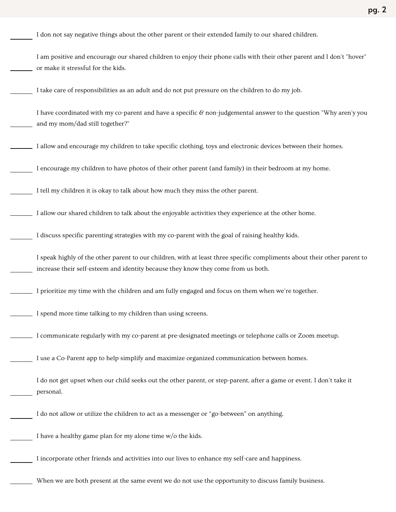| I don not say negative things about the other parent or their extended family to our shared children.                                                                                                         |
|---------------------------------------------------------------------------------------------------------------------------------------------------------------------------------------------------------------|
| I am positive and encourage our shared children to enjoy their phone calls with their other parent and I don't "hover"<br>or make it stressful for the kids.                                                  |
| I take care of responsibilities as an adult and do not put pressure on the children to do my job.                                                                                                             |
| I have coordinated with my co-parent and have a specific $\&$ non-judgemental answer to the question "Why aren'y you<br>and my mom/dad still together?"                                                       |
| I allow and encourage my children to take specific clothing, toys and electronic devices between their homes.                                                                                                 |
| I encourage my children to have photos of their other parent (and family) in their bedroom at my home.                                                                                                        |
| I tell my children it is okay to talk about how much they miss the other parent.                                                                                                                              |
| I allow our shared children to talk about the enjoyable activities they experience at the other home.                                                                                                         |
| I discuss specific parenting strategies with my co-parent with the goal of raising healthy kids.                                                                                                              |
| I speak highly of the other parent to our children, with at least three specific compliments about their other parent to<br>increase their self-esteem and identity because they know they come from us both. |
| I prioritize my time with the children and am fully engaged and focus on them when we're together.                                                                                                            |
| I spend more time talking to my children than using screens.                                                                                                                                                  |
| I communicate regularly with my co-parent at pre-designated meetings or telephone calls or Zoom meetup.                                                                                                       |
| I use a Co-Parent app to help simplify and maximize organized communication between homes.                                                                                                                    |
| I do not get upset when our child seeks out the other parent, or step-parent, after a game or event. I don't take it<br>personal.                                                                             |
| I do not allow or utilize the children to act as a messenger or "go-between" on anything.                                                                                                                     |
| I have a healthy game plan for my alone time $w/o$ the kids.                                                                                                                                                  |
| I incorporate other friends and activities into our lives to enhance my self-care and happiness.                                                                                                              |
| When we are both present at the same event we do not use the opportunity to discuss family business.                                                                                                          |